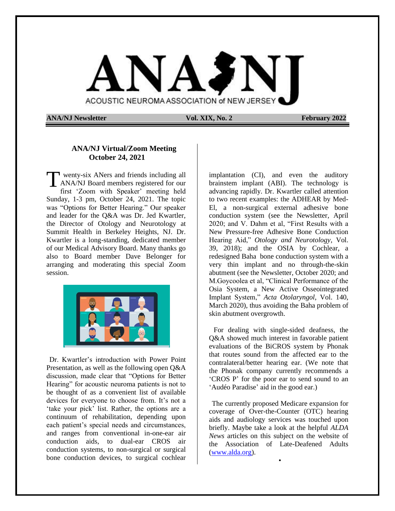

**ANA/NJ Newsletter Vol. XIX, No. 2 February 2022** 

### **ANA/NJ Virtual/Zoom Meeting October 24, 2021**

wenty-six ANers and friends including all ANA/NJ Board members registered for our first 'Zoom with Speaker' meeting held Sunday, 1-3 pm, October 24, 2021. The topic was "Options for Better Hearing." Our speaker and leader for the Q&A was Dr. Jed Kwartler, the Director of Otology and Neurotology at Summit Health in Berkeley Heights, NJ. Dr. Kwartler is a long-standing, dedicated member of our Medical Advisory Board. Many thanks go also to Board member Dave Belonger for arranging and moderating this special Zoom session. T



Dr. Kwartler's introduction with Power Point Presentation, as well as the following open Q&A discussion, made clear that "Options for Better Hearing" for acoustic neuroma patients is not to be thought of as a convenient list of available devices for everyone to choose from. It's not a 'take your pick' list. Rather, the options are a continuum of rehabilitation, depending upon each patient's special needs and circumstances, and ranges from conventional in-one-ear air conduction aids, to dual-ear CROS air conduction systems, to non-surgical or surgical bone conduction devices, to surgical cochlear

implantation (CI), and even the auditory brainstem implant (ABI). The technology is advancing rapidly. Dr. Kwartler called attention to two recent examples: the ADHEAR by Med-El, a non-surgical external adhesive bone conduction system (see the Newsletter, April 2020; and V. Dahm et al, "First Results with a New Pressure-free Adhesive Bone Conduction Hearing Aid," *Otology and Neurotology*, Vol. 39, 2018); and the OSIA by Cochlear, a redesigned Baha bone conduction system with a very thin implant and no through-the-skin abutment (see the Newsletter, October 2020; and M.Goycoolea et al, "Clinical Performance of the Osia System, a New Active Osseointegrated Implant System," *Acta Otolaryngol*, Vol. 140, March 2020), thus avoiding the Baha problem of skin abutment overgrowth.

For dealing with single-sided deafness, the Q&A showed much interest in favorable patient evaluations of the BiCROS system by Phonak that routes sound from the affected ear to the contralateral/better hearing ear. (We note that the Phonak company currently recommends a 'CROS P' for the poor ear to send sound to an 'Audéo Paradise' aid in the good ear.)

The currently proposed Medicare expansion for coverage of Over-the-Counter (OTC) hearing aids and audiology services was touched upon briefly. Maybe take a look at the helpful *ALDA News* articles on this subject on the website of the Association of Late-Deafened Adults [\(www.alda.org\)](http://www.alda.org/).

•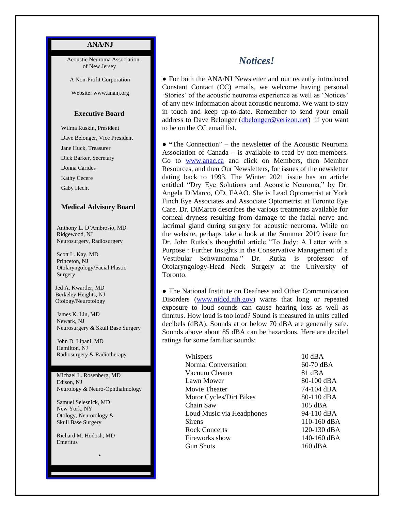### **ANA/NJ**

 Acoustic Neuroma Association of New Jersey

A Non-Profit Corporation

Website: www.ananj.org

### **Executive Board**

 Wilma Ruskin, President Dave Belonger, Vice President Jane Huck, Treasurer Dick Barker, Secretary Donna Carides Kathy Cecere Gaby Hecht

#### **Medical Advisory Board**

 Anthony L. D'Ambrosio, MD Ridgewood, NJ Neurosurgery, Radiosurgery

 Scott L. Kay, MD Princeton, NJ Otolaryngology/Facial Plastic Surgery

 Jed A. Kwartler, MD Berkeley Heights, NJ Otology/Neurotology

 James K. Liu, MD Newark, NJ Neurosurgery & Skull Base Surgery

 John D. Lipani, MD Hamilton, NJ Radiosurgery & Radiotherapy

 Michael L. Rosenberg, MD Edison, NJ Neurology & Neuro-Ophthalmology

•

 Samuel Selesnick, MD New York, NY Otology, Neurotology & Skull Base Surgery

 Richard M. Hodosh, MD Emeritus

# *Notices!*

**●** For both the ANA/NJ Newsletter and our recently introduced Constant Contact (CC) emails, we welcome having personal 'Stories' of the acoustic neuroma experience as well as 'Notices' of any new information about acoustic neuroma. We want to stay in touch and keep up-to-date. Remember to send your email address to Dave Belonger [\(dbelonger@verizon.net\)](mailto:dbelonger@verizon.net) if you want to be on the CC email list.

**● "**The Connection" – the newsletter of the Acoustic Neuroma Association of Canada – is available to read by non-members. Go to [www.anac.ca](http://www.anac.ca/) and click on Members, then Member Resources, and then Our Newsletters, for issues of the newsletter dating back to 1993. The Winter 2021 issue has an article entitled "Dry Eye Solutions and Acoustic Neuroma," by Dr. Angela DiMarco, OD, FAAO. She is Lead Optometrist at York Finch Eye Associates and Associate Optometrist at Toronto Eye Care. Dr. DiMarco describes the various treatments available for corneal dryness resulting from damage to the facial nerve and lacrimal gland during surgery for acoustic neuroma. While on the website, perhaps take a look at the Summer 2019 issue for Dr. John Rutka's thoughtful article "To Judy: A Letter with a Purpose : Further Insights in the Conservative Management of a Vestibular Schwannoma." Dr. Rutka is professor of Otolaryngology-Head Neck Surgery at the University of Toronto.

• The National Institute on Deafness and Other Communication Disorders [\(www.nidcd.nih.gov\)](http://www.nidcd.nih.gov/) warns that long or repeated exposure to loud sounds can cause hearing loss as well as tinnitus. How loud is too loud? Sound is measured in units called decibels (dBA). Sounds at or below 70 dBA are generally safe. Sounds above about 85 dBA can be hazardous. Here are decibel ratings for some familiar sounds:

| Whispers                  | $10 \text{ dB}$ A |
|---------------------------|-------------------|
| Normal Conversation       | 60-70 dBA         |
| Vacuum Cleaner            | 81 dBA            |
| Lawn Mower                | 80-100 dBA        |
| Movie Theater             | 74-104 dBA        |
| Motor Cycles/Dirt Bikes   | 80-110 dBA        |
| Chain Saw                 | $105 \text{ dBA}$ |
| Loud Music via Headphones | 94-110 dBA        |
| <b>Sirens</b>             | 110-160 dBA       |
| <b>Rock Concerts</b>      | 120-130 dBA       |
| Fireworks show            | 140-160 dBA       |
| <b>Gun Shots</b>          | 160 dBA           |
|                           |                   |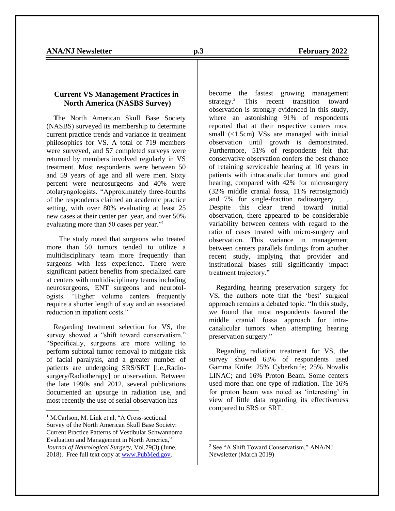### **Current VS Management Practices in North America (NASBS Survey)**

 **T**he North American Skull Base Society (NASBS) surveyed its membership to determine current practice trends and variance in treatment philosophies for VS. A total of 719 members were surveyed, and 57 completed surveys were returned by members involved regularly in VS treatment. Most respondents were between 50 and 59 years of age and all were men. Sixty percent were neurosurgeons and 40% were otolaryngologists. "Approximately three-fourths of the respondents claimed an academic practice setting, with over 80% evaluating at least 25 new cases at their center per year, and over 50% evaluating more than 50 cases per year."<sup>1</sup>

 The study noted that surgeons who treated more than 50 tumors tended to utilize a multidisciplinary team more frequently than surgeons with less experience. There were significant patient benefits from specialized care at centers with multidisciplinary teams including neurosurgeons, ENT surgeons and neurotologists. "Higher volume centers frequently require a shorter length of stay and an associated reduction in inpatient costs."

 Regarding treatment selection for VS, the survey showed a "shift toward conservatism." "Specifically, surgeons are more willing to perform subtotal tumor removal to mitigate risk of facial paralysis, and a greater number of patients are undergoing SRS/SRT [i.e.,Radiosurgery/Radiotherapy] or observation. Between the late 1990s and 2012, several publications documented an upsurge in radiation use, and most recently the use of serial observation has

become the fastest growing management strategy.<sup>2</sup> This recent transition toward observation is strongly evidenced in this study, where an astonishing 91% of respondents reported that at their respective centers most small (<1.5cm) VSs are managed with initial observation until growth is demonstrated. Furthermore, 51% of respondents felt that conservative observation confers the best chance of retaining serviceable hearing at 10 years in patients with intracanalicular tumors and good hearing, compared with 42% for microsurgery (32% middle cranial fossa, 11% retrosigmoid) and 7% for single-fraction radiosurgery. . . Despite this clear trend toward initial observation, there appeared to be considerable variability between centers with regard to the ratio of cases treated with micro-surgery and observation. This variance in management between centers parallels findings from another recent study, implying that provider and institutional biases still significantly impact treatment trajectory."

 Regarding hearing preservation surgery for VS, the authors note that the 'best' surgical approach remains a debated topic. "In this study, we found that most respondents favored the middle cranial fossa approach for intracanalicular tumors when attempting hearing preservation surgery."

 Regarding radiation treatment for VS, the survey showed 63% of respondents used Gamma Knife; 25% Cyberknife; 25% Novalis LINAC; and 16% Proton Beam. Some centers used more than one type of radiation. The 16% for proton beam was noted as 'interesting' in view of little data regarding its effectiveness compared to SRS or SRT.

<sup>&</sup>lt;sup>1</sup> M.Carlson, M. Link et al, "A Cross-sectional Survey of the North American Skull Base Society: Current Practice Patterns of Vestibular Schwannoma Evaluation and Management in North America," *Journal of Neurological Surgery*, Vol.79(3) (June, 2018). Free full text copy a[t www.PubMed.gov.](http://www.pubmed.gov/)

<sup>2</sup> See "A Shift Toward Conservatism," ANA/NJ Newsletter (March 2019)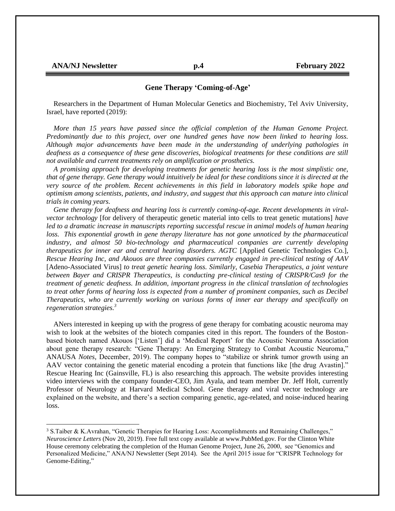### **Gene Therapy 'Coming-of-Age'**

 Researchers in the Department of Human Molecular Genetics and Biochemistry, Tel Aviv University, Israel, have reported (2019):

 *More than 15 years have passed since the official completion of the Human Genome Project. Predominantly due to this project, over one hundred genes have now been linked to hearing loss. Although major advancements have been made in the understanding of underlying pathologies in deafness as a consequence of these gene discoveries, biological treatments for these conditions are still not available and current treatments rely on amplification or prosthetics.* 

 *A promising approach for developing treatments for genetic hearing loss is the most simplistic one, that of gene therapy. Gene therapy would intuitively be ideal for these conditions since it is directed at the very source of the problem. Recent achievements in this field in laboratory models spike hope and optimism among scientists, patients, and industry, and suggest that this approach can mature into clinical trials in coming years.*

 *Gene therapy for deafness and hearing loss is currently coming-of-age. Recent developments in viralvector technology* [for delivery of therapeutic genetic material into cells to treat genetic mutations] *have led to a dramatic increase in manuscripts reporting successful rescue in animal models of human hearing loss. This exponential growth in gene therapy literature has not gone unnoticed by the pharmaceutical industry, and almost 50 bio-technology and pharmaceutical companies are currently developing therapeutics for inner ear and central hearing disorders. AGTC* [Applied Genetic Technologies Co*.*], *Rescue Hearing Inc, and Akouos are three companies currently engaged in pre-clinical testing of AAV*  [Adeno-Associated Virus] *to treat genetic hearing loss. Similarly, Casebia Therapeutics, a joint venture between Bayer and CRISPR Therapeutics, is conducting pre-clinical testing of CRISPR/Cas9 for the treatment of genetic deafness. In addition, important progress in the clinical translation of technologies to treat other forms of hearing loss is expected from a number of prominent companies, such as Decibel Therapeutics, who are currently working on various forms of inner ear therapy and specifically on regeneration strategies.<sup>3</sup>*

 ANers interested in keeping up with the progress of gene therapy for combating acoustic neuroma may wish to look at the websites of the biotech companies cited in this report. The founders of the Bostonbased biotech named Akouos ['Listen'] did a 'Medical Report' for the Acoustic Neuroma Association about gene therapy research: "Gene Therapy: An Emerging Strategy to Combat Acoustic Neuroma," ANAUSA *Notes,* December, 2019). The company hopes to "stabilize or shrink tumor growth using an AAV vector containing the genetic material encoding a protein that functions like [the drug Avastin]." Rescue Hearing Inc (Gainsville, FL) is also researching this approach. The website provides interesting video interviews with the company founder-CEO, Jim Ayala, and team member Dr. Jeff Holt, currently Professor of Neurology at Harvard Medical School. Gene therapy and viral vector technology are explained on the website, and there's a section comparing genetic, age-related, and noise-induced hearing loss.

<sup>3</sup> S.Taiber & K.Avrahan, "Genetic Therapies for Hearing Loss: Accomplishments and Remaining Challenges," *Neuroscience Letters* (Nov 20, 2019). Free full text copy available at www.PubMed.gov. For the Clinton White House ceremony celebrating the completion of the Human Genome Project, June 26, 2000, see "Genomics and Personalized Medicine," ANA/NJ Newsletter (Sept 2014). See the April 2015 issue for "CRISPR Technology for Genome-Editing,"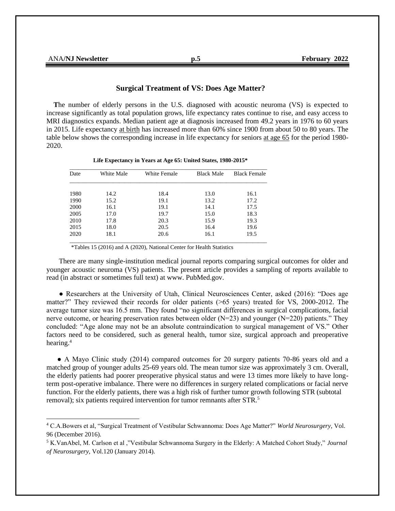| <b>A/NJ</b> Newsletter<br>ANA/N | いこ | 2022<br>Februarv<br>T L'AI |
|---------------------------------|----|----------------------------|
|                                 |    |                            |

#### **Surgical Treatment of VS: Does Age Matter?**

 **T**he number of elderly persons in the U.S. diagnosed with acoustic neuroma (VS) is expected to increase significantly as total population grows, life expectancy rates continue to rise, and easy access to MRI diagnostics expands. Median patient age at diagnosis increased from 49.2 years in 1976 to 60 years in 2015. Life expectancy at birth has increased more than 60% since 1900 from about 50 to 80 years. The table below shows the corresponding increase in life expectancy for seniors at age 65 for the period 1980- 2020.

| Date | White Male | White Female | <b>Black Male</b> | <b>Black Female</b> |
|------|------------|--------------|-------------------|---------------------|
| 1980 | 14.2       | 18.4         | 13.0              | 16.1                |
| 1990 | 15.2       | 19.1         | 13.2              | 17.2                |
| 2000 | 16.1       | 19.1         | 14.1              | 17.5                |
| 2005 | 17.0       | 19.7         | 15.0              | 18.3                |
| 2010 | 17.8       | 20.3         | 15.9              | 19.3                |
| 2015 | 18.0       | 20.5         | 16.4              | 19.6                |
| 2020 | 18.1       | 20.6         | 16.1              | 19.5                |

 **Life Expectancy in Years at Age 65: United States, 1980-2015\***

\*Tables 15 (2016) and A (2020), National Center for Health Statistics

 There are many single-institution medical journal reports comparing surgical outcomes for older and younger acoustic neuroma (VS) patients. The present article provides a sampling of reports available to read (in abstract or sometimes full text) at www. PubMed.gov.

 ● Researchers at the University of Utah, Clinical Neurosciences Center, asked (2016): "Does age matter?" They reviewed their records for older patients (>65 years) treated for VS, 2000-2012. The average tumor size was 16.5 mm. They found "no significant differences in surgical complications, facial nerve outcome, or hearing preservation rates between older  $(N=23)$  and younger  $(N=220)$  patients." They concluded: "Age alone may not be an absolute contraindication to surgical management of VS." Other factors need to be considered, such as general health, tumor size, surgical approach and preoperative hearing.<sup>4</sup>

 ● A Mayo Clinic study (2014) compared outcomes for 20 surgery patients 70-86 years old and a matched group of younger adults 25-69 years old. The mean tumor size was approximately 3 cm. Overall, the elderly patients had poorer preoperative physical status and were 13 times more likely to have longterm post-operative imbalance. There were no differences in surgery related complications or facial nerve function. For the elderly patients, there was a high risk of further tumor growth following STR (subtotal removal); six patients required intervention for tumor remnants after STR.<sup>5</sup>

<sup>4</sup> C.A.Bowers et al, "Surgical Treatment of Vestibular Schwannoma: Does Age Matter?" *World Neurosurgery*, Vol. 96 (December 2016).

<sup>5</sup> K.VanAbel, M. Carlson et al ,"Vestibular Schwannoma Surgery in the Elderly: A Matched Cohort Study," *Journal of Neurosurgery*, Vol.120 (January 2014).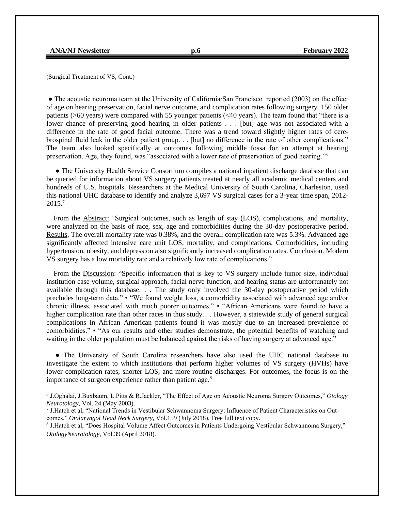(Surgical Treatment of VS, Cont.)

● The acoustic neuroma team at the University of California/San Francisco reported (2003) on the effect of age on hearing preservation, facial nerve outcome, and complication rates following surgery. 150 older patients (>60 years) were compared with 55 younger patients (<40 years). The team found that "there is a lower chance of preserving good hearing in older patients . . . [but] age was not associated with a difference in the rate of good facial outcome. There was a trend toward slightly higher rates of cerebrospinal fluid leak in the older patient group. . . [but] no difference in the rate of other complications." The team also looked specifically at outcomes following middle fossa for an attempt at hearing preservation. Age, they found, was "associated with a lower rate of preservation of good hearing."<sup>6</sup>

• The University Health Service Consortium compiles a national inpatient discharge database that can be queried for information about VS surgery patients treated at nearly all academic medical centers and hundreds of U.S. hospitals. Researchers at the Medical University of South Carolina, Charleston, used this national UHC database to identify and analyze 3,697 VS surgical cases for a 3-year time span, 2012- 2015.<sup>7</sup>

From the **Abstract:** "Surgical outcomes, such as length of stay (LOS), complications, and mortality, were analyzed on the basis of race, sex, age and comorbidities during the 30-day postoperative period. Results. The overall mortality rate was 0.38%, and the overall complication rate was 5.3%. Advanced age significantly affected intensive care unit LOS, mortality, and complications. Comorbidities, including hypertension, obesity, and depression also significantly increased complication rates. Conclusion. Modern VS surgery has a low mortality rate and a relatively low rate of complications."

 From the Discussion: "Specific information that is key to VS surgery include tumor size, individual institution case volume, surgical approach, facial nerve function, and hearing status are unfortunately not available through this database. . . The study only involved the 30-day postoperative period which precludes long-term data." • "We found weight loss, a comorbidity associated with advanced age and/or chronic illness, associated with much poorer outcomes." • "African Americans were found to have a higher complication rate than other races in thus study. . . However, a statewide study of general surgical complications in African American patients found it was mostly due to an increased prevalence of comorbidities." • "As our results and other studies demonstrate, the potential benefits of watching and waiting in the older population must be balanced against the risks of having surgery at advanced age."

 ● The University of South Carolina researchers have also used the UHC national database to investigate the extent to which institutions that perform higher volumes of VS surgery (HVHs) have lower complication rates, shorter LOS, and more routine discharges. For outcomes, the focus is on the importance of surgeon experience rather than patient age.<sup>8</sup>

<sup>6</sup> J.Oghalai, J.Buxbaum, L.Pitts & R.Jackler, "The Effect of Age on Acoustic Neuroma Surgery Outcomes," *Otology Neurotology*, Vol. 24 (May 2003).

<sup>7</sup> J.Hatch et al, "National Trends in Vestibular Schwannoma Surgery: Influence of Patient Characteristics on Outcomes," *Otolaryngol Head Neck Surgery*, Vol.159 (July 2018). Free full text copy.

<sup>8</sup> J.Hatch et al, "Does Hospital Volume Affect Outcomes in Patients Undergoing Vestibular Schwannoma Surgery," *OtologyNeurotology*, Vol.39 (April 2018).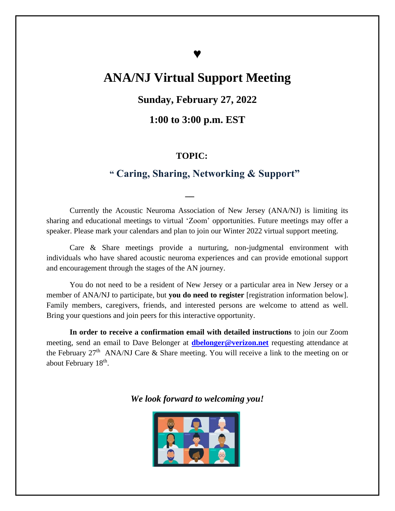# **♥**

# **ANA/NJ Virtual Support Meeting**

## **Sunday, February 27, 2022**

## **1:00 to 3:00 p.m. EST**

## **TOPIC:**

 *\_\_*

## **" Caring, Sharing, Networking & Support"**

Currently the Acoustic Neuroma Association of New Jersey (ANA/NJ) is limiting its sharing and educational meetings to virtual 'Zoom' opportunities. Future meetings may offer a speaker. Please mark your calendars and plan to join our Winter 2022 virtual support meeting.

Care & Share meetings provide a nurturing, non-judgmental environment with individuals who have shared acoustic neuroma experiences and can provide emotional support and encouragement through the stages of the AN journey.

You do not need to be a resident of New Jersey or a particular area in New Jersey or a member of ANA/NJ to participate, but **you do need to register** [registration information below]. Family members, caregivers, friends, and interested persons are welcome to attend as well. Bring your questions and join peers for this interactive opportunity.

**In order to receive a confirmation email with detailed instructions** to join our Zoom meeting, send an email to Dave Belonger at **[dbelonger@verizon.net](mailto:dbelonger@verizon.net)** requesting attendance at the February  $27<sup>th</sup>$  ANA/NJ Care & Share meeting. You will receive a link to the meeting on or about February 18<sup>th</sup>.

*We look forward to welcoming you!*